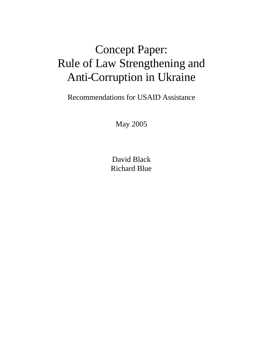# Concept Paper: Rule of Law Strengthening and Anti-Corruption in Ukraine

Recommendations for USAID Assistance

May 2005

David Black Richard Blue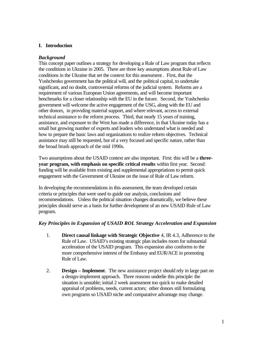# **I. Introduction**

# *Background*

This concept paper outlines a strategy for developing a Rule of Law program that reflects the conditions in Ukraine in 2005. There are three key assumptions about Rule of Law conditions in the Ukraine that set the context for this assessment . First, that the Yushchenko government has the political will, and the political capital, to undertake significant, and no doubt, controversial reforms of the judicial system. Reforms are a requirement of various European Union agreements, and will become important benchmarks for a closer relationship with the EU in the future. Second, the Yushchenko government will welcome the active engagement of the USG, along with the EU and other donors, in providing material support, and where relevant, access to external technical assistance to the reform process. Third, that nearly 15 years of training, assistance, and exposure to the West has made a difference, in that Ukraine today has a small but growing number of experts and leaders who understand what is needed and how to prepare the basic laws and organizations to realize reform objectives. Technical assistance may still be requested, but of a very focused and specific nature, rather than the broad brush approach of the mid 1990s.

Two assumptions about the USAID context are also important. First: this will be a **threeyear program, with emphasis on specific critical results** within first year. Second: funding will be available from existing and supplemental appropriations to permit quick engagement with the Government of Ukraine on the issue of Rule of Law reform.

In developing the recommendations in this assessment, the team developed certain criteria or principles that were used to guide our analysis, conclusions and recommendations. Unless the political situation changes dramatically, we believe these principles should serve as a basis for further development of an new USAID Rule of Law program.

# *Key Principles in Expansion of USAID ROL Strategy Acceleration and Expansion*

- 1. **Direct causal linkage with Strategic Objective** 4, IR 4.3, Adherence to the Rule of Law. USAID's existing strategic plan includes room for substantial acceleration of the USAID program. This expansion also conforms to the more comprehensive interest of the Embassy and EUR/ACE in promoting Rule of Law.
- 2. **Design – Implement**. The new assistance project should rely in large part on a design-implement approach. Three reasons underlie this principle: the situation is unstable; initial 2 week assessment too quick to make detailed appraisal of problems, needs, current actors; other donors still formulating own programs so USAID niche and comparative advantage may change.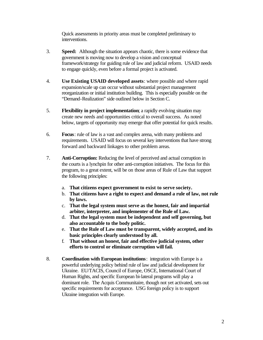Quick assessments in priority areas must be completed preliminary to interventions.

- 3. **Speed:** Although the situation appears chaotic, there is some evidence that government is moving now to develop a vision and conceptual framework/strategy for guiding rule of law and judicial reform. USAID needs to engage quickly, even before a formal project is activated.
- 4. **Use Existing USAID developed assets**: where possible and where rapid expansion/scale up can occur without substantial project management reorganization or initial institution building. This is especially possible on the "Demand-Realization" side outlined below in Section C.
- 5. **Flexibility in project implementation**; a rapidly evolving situation may create new needs and opportunities critical to overall success. As noted below, targets of opportunity may emerge that offer potential for quick results.
- 6. **Focus**: rule of law is a vast and complex arena, with many problems and requirements. USAID will focus on several key interventions that have strong forward and backward linkages to other problem areas.
- 7. **Anti-Corruption:** Reducing the level of perceived and actual corruption in the courts is a lynchpin for other anti-corruption initiatives. The focus for this program, to a great extent, will be on those areas of Rule of Law that support the following principles:
	- a. **That citizens expect government to exist to serve society.**
	- b. **That citizens have a right to expect and demand a rule of law, not rule by laws.**
	- c. **That the legal system must serve as the honest, fair and impartial arbiter, interpreter, and implementer of the Rule of Law.**
	- d. **That the legal system must be independent and self governing, but also accountable to the body politic.**
	- e. **That the Rule of Law must be transparent, widely accepted, and its basic principles clearly understood by all.**
	- f. **That without an honest, fair and effective judicial system, other efforts to control or eliminate corruption will fail.**
- 8. **Coordination with European institutions**: integration with Europe is a powerful underlying policy behind rule of law and judicial development for Ukraine. EU/TACIS, Council of Europe, OSCE, International Court of Human Rights, and specific European bi-lateral programs will play a dominant role. The Acquis Communitaire, though not yet activated, sets out specific requirements for acceptance. USG foreign policy is to support Ukraine integration with Europe.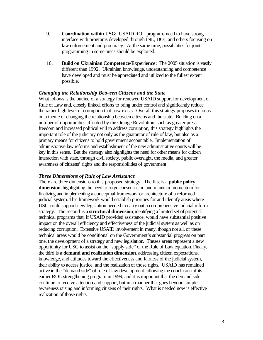- 9. **Coordination within USG**: USAID ROL programs need to have strong interface with programs developed through INL, DOJ, and others focusing on law enforcement and procuracy. At the same time, possibilities for joint programming in some areas should be exploited.
- 10. **Build on Ukrainian Competence/Experience**: The 2005 situation is vastly different than 1992. Ukrainian knowledge, understanding and competence have developed and must be appreciated and utilized to the fullest extent possible.

# *Changing the Relationship Between Citizens and the State*

What follows is the outline of a strategy for renewed USAID support for development of Rule of Law and, closely linked, efforts to bring under control and significantly reduce the rather high level of corruption that now exists. Overall this strategy proposes to focus on a theme of changing the relationship between citizens and the state. Building on a number of opportunities afforded by the Orange Revolution, such as greater press freedom and increased political will to address corruption, this strategy highlights the important role of the judiciary not only as the guarantor of rule of law, but also as a primary means for citizens to hold government accountable. Implementation of administrative law reforms and establishment of the new administrative courts will be key in this sense. But the strategy also highlights the need for other means for citizen interaction with state, through civil society, public oversight, the media, and greater awareness of citizens' rights and the responsibilities of government

## *Three Dimensions of Rule of Law Assistance*

There are three dimensions to this proposed strategy. The first is a **public policy dimension**, highlighting the need to forge consensus on and maintain momentum for finalizing and implementing a conceptual framework or architecture of a reformed judicial system. This framework would establish priorities for and identify areas where USG could support new legislation needed to carry out a comprehensive judicial reform strategy. The second is a **structural dimension**, identifying a limited set of potential technical programs that, if USAID provided assistance, would have substantial positive impact on the overall efficiency and effectiveness of the judicial system as well as on reducing corruption. Extensive USAID involvement in many, though not all, of these technical areas would be conditional on the Government's substantial progress on part one, the development of a strategy and new legislation. Theses areas represent a new opportunity for USG to assist on the "supply side" of the Rule of Law equation. Finally, the third is a **demand and realization dimension**, addressing citizen expectations, knowledge, and attitudes toward the effectiveness and fairness of the judicial system, their ability to access justice, and the realization of those rights. USAID has remained active in the "demand side" of rule of law development following the conclusion of its earlier ROL strengthening program in 1999, and it is important that the demand side continue to receive attention and support, but in a manner that goes beyond simple awareness raising and informing citizens of their rights. What is needed now is effective realization of those rights.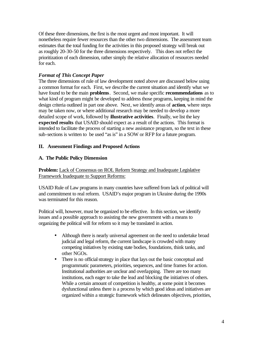Of these three dimensions, the first is the most urgent and most important. It will nonetheless require fewer resources than the other two dimensions. The assessment team estimates that the total funding for the activities in this proposed strategy will break out as roughly 20-30-50 for the three dimensions respectively. This does not reflect the prioritization of each dimension, rather simply the relative allocation of resources needed for each.

# *Format of This Concept Paper*

The three dimensions of rule of law development noted above are discussed below using a common format for each. First, we describe the current situation and identify what we have found to be the main **problems**. Second, we make specific **recommendations** as to what kind of program might be developed to address those programs, keeping in mind the design criteria outlined in part one above. Next, we identify areas of **action**, where steps may be taken now, or where additional research may be needed to develop a more detailed scope of work, followed by i**llustrative activities**.Finally, we list the key **expected results** that USAID should expect as a result of the actions. This format is intended to facilitate the process of starting a new assistance program, so the text in these sub-sections is written to be used "as is" in a SOW or RFP for a future program.

# **II. Assessment Findings and Proposed Actions**

# **A. The Public Policy Dimension**

# **Problem:** Lack of Consensus on ROL Reform Strategy and Inadequate Legislative Framework Inadequate to Support Reforms:

USAID Rule of Law programs in many countries have suffered from lack of political will and commitment to real reform. USAID's major program in Ukraine during the 1990s was terminated for this reason.

Political will, however, must be organized to be effective. In this section, we identify issues and a possible approach to assisting the new government with a means to organizing the political will for reform so it may be translated in action.

- Although there is nearly universal agreement on the need to undertake broad judicial and legal reform, the current landscape is crowded with many competing initiatives by existing state bodies, foundations, think tanks, and other NGOs.
- There is no official strategy in place that lays out the basic conceptual and programmatic parameters, priorities, sequences, and time frames for action. Institutional authorities are unclear and overlapping. There are too many institutions, each eager to take the lead and blocking the initiatives of others. While a certain amount of competition is healthy, at some point it becomes dysfunctional unless there is a process by which good ideas and initiatives are organized within a strategic framework which delineates objectives, priorities,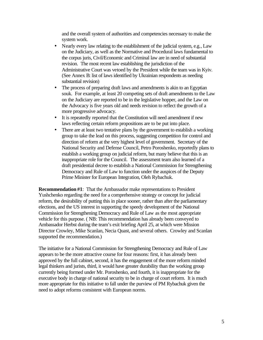and the overall system of authorities and competencies necessary to make the system work.

- Nearly every law relating to the establishment of the judicial system, e.g., Law on the Judiciary, as well as the Normative and Procedural laws fundamental to the corpus juris, Civil/Economic and Criminal law are in need of substantial revision. The most recent law establishing the jurisdiction of the Administrative Court was vetoed by the President while the team was in Kyiv. (See Annex B: list of laws identified by Ukrainian respondents as needing substantial revision)
- The process of preparing draft laws and amendments is akin to an Egyptian souk. For example, at least 20 competing sets of draft amendments to the Law on the Judiciary are reported to be in the legislative hopper, and the Law on the Advocacy is five years old and needs revision to reflect the growth of a more progressive advocacy.
- It is repeatedly reported that the Constitution will need amendment if new laws reflecting certain reform propositions are to be put into place.
- There are at least two tentative plans by the government to establish a working group to take the lead on this process, suggesting competition for control and direction of reform at the very highest level of government. Secretary of the National Security and Defense Council, Petro Poroshenko, reportedly plans to establish a working group on judicial reform, but many believe that this is an inappropriate role for the Council. The assessment team also learned of a draft presidential decree to establish a National Commission for Strengthening Democracy and Rule of Law to function under the auspices of the Deputy Prime Minister for European Integration, Oleh Rybachuk.

**Recommendation #1**: That the Ambassador make representations to President Yushchenko regarding the need for a comprehensive strategy or concept for judicial reform, the desirability of putting this in place sooner, rather than after the parliamentary elections, and the US interest in supporting the speedy development of the National Commission for Strengthening Democracy and Rule of Law as the most appropriate vehicle for this purpose. ( NB: This recommendation has already been conveyed to Ambassador Herbst during the team's exit briefing April 25, at which were Mission Director Crowley, Mike Scanlan, Necia Quast, and several others. Crowley and Scanlan supported the recommendation.)

The initiative for a National Commission for Strengthening Democracy and Rule of Law appears to be the more attractive course for four reasons: first, it has already been approved by the full cabinet, second, it has the engagement of the more reform minded legal thinkers and jurists, third, it would have greater durability than the working group currently being formed under Mr. Poroshenko, and fourth, it is inappropriate for the executive body in charge of national security to be in charge of court reform. It is much more appropriate for this initiative to fall under the purview of PM Rybachuk given the need to adopt reforms consistent with European norms.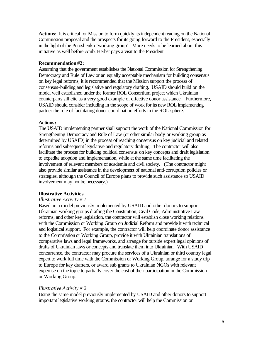**Actions:** It is critical for Mission to form quickly its independent reading on the National Commission proposal and the prospects for its going forward to the President, especially in the light of the Poroshenko 'working group'. More needs to be learned about this initiative as well before Amb. Herbst pays a visit to the President.

# **Recommendation #2:**

Assuming that the government establishes the National Commission for Strengthening Democracy and Rule of Law or an equally acceptable mechanism for building consensus on key legal reforms, it is recommended that the Mission support the process of consensus-building and legislative and regulatory drafting. USAID should build on the model well established under the former ROL Consortium project which Ukrainian counterparts sill cite as a very good example of effective donor assistance. Furthermore, USAID should consider including in the scope of work for its new ROL implementing partner the role of facilitating donor coordination efforts in the ROL sphere.

# **Actions:**

The USAID implementing partner shall support the work of the National Commission for Strengthening Democracy and Rule of Law (or other similar body or working group as determined by USAID) in the process of reaching consensus on key judicial and related reforms and subsequent legislative and regulatory drafting. The contractor will also facilitate the process for building political consensus on key concepts and draft legislation to expedite adoption and implementation, while at the same time facilitating the involvement of relevant members of academia and civil society. (The contractor might also provide similar assistance in the development of national anti-corruption policies or strategies, although the Council of Europe plans to provide such assistance so USAID involvement may not be necessary.)

# **Illustrative Activities**

# *Illustrative Activity # 1*

Based on a model previously implemented by USAID and other donors to support Ukrainian working groups drafting the Constitution, Civil Code, Administrative Law reforms, and other key legislation, the contractor will establish close working relations with the Commission or Working Group on Judicial Reform and provide it with technical and logistical support. For example, the contractor will help coordinate donor assistance to the Commission or Working Group, provide it with Ukrainian translations of comparative laws and legal frameworks, and arrange for outside expert legal opinions of drafts of Ukrainian laws or concepts and translate them into Ukrainian. With USAID concurrence, the contractor may procure the services of a Ukrainian or third country legal expert to work full time with the Commission or Working Group, arrange for a study trip to Europe for key drafters, or award sub grants to Ukrainian NGOs with relevant expertise on the topic to partially cover the cost of their participation in the Commission or Working Group.

# *Illustrative Activity # 2*

Using the same model previously implemented by USAID and other donors to support important legislative working groups, the contractor will help the Commission or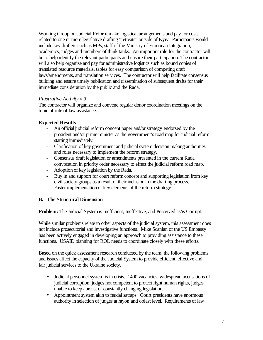Working Group on Judicial Reform make logistical arrangements and pay for costs related to one or more legislative drafting "retreats" outside of Kyiv. Participants would include key drafters such as MPs, staff of the Ministry of European Integration, academics, judges and members of think tanks. An important role for the contractor will be to help identify the relevant participants and ensure their participation. The contractor will also help organize and pay for administrative logistics such as bound copies of translated resource materials, tables for easy comparison of competing draft laws/amendments, and translation services. The contractor will help facilitate consensus building and ensure timely publication and dissemination of subsequent drafts for their immediate consideration by the public and the Rada.

# *Illustrative Activity # 3*

The contractor will organize and convene regular donor coordination meetings on the topic of rule of law assistance.

# **Expected Results**

- An official judicial reform concept paper and/or strategy endorsed by the president and/or prime minister as the government's road map for judicial reform starting immediately.
- Clarification of key government and judicial system decision making authorities and roles necessary to implement the reform strategy.
- Consensus draft legislation or amendments presented in the current Rada convocation in priority order necessary to effect the judicial reform road map.
- Adoption of key legislation by the Rada.
- Buy in and support for court reform concept and supporting legislation from key civil society groups as a result of their inclusion in the drafting process.
- Faster implementation of key elements of the reform strategy

# **B. The Structural Dimension**

# **Problem:** The Judicial System is Inefficient, Ineffective, and Perceived as/is Corrupt:

While similar problems relate to other aspects of the judicial system, this assessment does not include prosecutorial and investigative functions. Mike Scanlan of the US Embassy has been actively engaged in developing an approach to providing assistance to these functions. USAID planning for ROL needs to coordinate closely with these efforts.

Based on the quick assessment research conducted by the team, the following problems and issues affect the capacity of the Judicial System to provide efficient, effective and fair judicial services to the Ukraine society.

- Judicial personnel system is in crisis. 1400 vacancies, widespread accusations of judicial corruption, judges not competent to protect right human rights, judges unable to keep abreast of constantly changing legislation.
- Appointment system akin to feudal satraps. Court presidents have enormous authority in selection of judges at rayon and oblast level. Requirements of law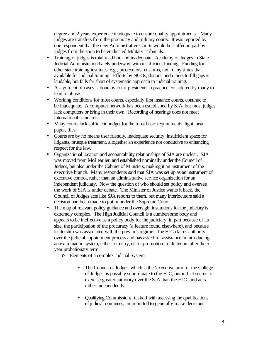degree and 2 years experience inadequate to ensure quality appointments. Many judges are transfers from the procuracy and military courts. It was reported by one respondent that the new Administrative Courts would be staffed in part by judges from the soon to be eradicated Military Tribunals.

- Training of judges is totally ad hoc and inadequate. Academy of Judges in State Judicial Administration barely underway, with insufficient funding. Funding for other state training institutes, e.g., prosecutors, customs, tax, many times that available for judicial training. Efforts by NGOs, donors, and others to fill gaps is laudable, but falls far short of systematic approach to judicial training.
- Assignment of cases is done by court presidents, a practice considered by many to lead to abuse.
- Working conditions for most courts, especially first instance courts, continue to be inadequate. A computer network has been established by SJA, but most judges lack computers or bring in their own. Recording of hearings does not meet international standards.
- Many courts lack sufficient budget for the most basic requirements, light, heat, paper, files.
- Courts are by no means user friendly, inadequate security, insufficient space for litigants, brusque treatment, altogether an experience not conducive to enhancing respect for the law.
- Organizational location and accountability relationships of SJA are unclear. SJA was moved from MoJ earlier, and established nominally under the Council of Judges, but also under the Cabinet of Ministers, making it an instrument of the executive branch. Many respondents said that SJA was set up as an instrument of executive control, rather than an administrative service organization for an independent judiciary. Now the question of who should set policy and oversee the work of SJA is under debate. The Minister of Justice wants it back, the Council of Judges acts like SJA reports to them, but many interlocutors said a decision had been made to put in under the Supreme Court.
- The map of relevant policy guidance and oversight institutions for the judiciary is extremely complex. The High Judicial Council is a cumbersome body and appears to be ineffective as a policy body for the judiciary, in part because of its size, the participation of the procuracy (a feature found elsewhere), and because leadership was associated with the previous regime. The HJC claims authority over the judicial appointment process and has asked for assistance in introducing an examination system, either for entry, or for promotion to life tenure after the 5 year probationary term.
	- o Elements of a complex Judicial System
		- The Council of Judges, which is the 'executive arm' of the College of Judges, is possibly subordinate to the HJC, but in fact seems to exercise greater authority over the SJA than the HJC, and acts rather independently. .
		- Qualifying Commissions, tasked with assessing the qualifications of judicial nominees, are reported to generally make decisions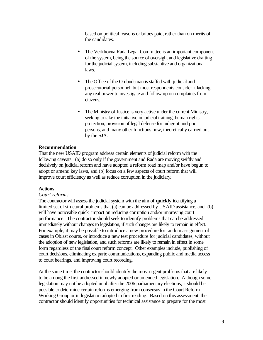based on political reasons or bribes paid, rather than on merits of the candidates.

- The Verkhovna Rada Legal Committee is an important component of the system, being the source of oversight and legislative drafting for the judicial system, including substantive and organizational laws.
- The Office of the Ombudsman is staffed with judicial and prosecutorial personnel, but most respondents consider it lacking any real power to investigate and follow up on complaints from citizens.
- The Ministry of Justice is very active under the current Ministry, seeking to take the initiative in judicial training, human rights protection, provision of legal defense for indigent and poor persons, and many other functions now, theoretically carried out by the SJA.

## **Recommendation**

That the new USAID program address certain elements of judicial reform with the following caveats: (a) do so only if the government and Rada are moving swiftly and decisively on judicial reform and have adopted a reform road map and/or have begun to adopt or amend key laws, and (b) focus on a few aspects of court reform that will improve court efficiency as well as reduce corruption in the judiciary.

## **Actions**

## *Court reforms*

The contractor will assess the judicial system with the aim of **quickly i**dentifying a limited set of structural problems that (a) can be addressed by USAID assistance, and (b) will have noticeable quick impact on reducing corruption and/or improving court performance. The contractor should seek to identify problems that can be addressed immediately without changes to legislation, if such changes are likely to remain in effect. For example, it may be possible to introduce a new procedure for random assignment of cases in Oblast courts, or introduce a new test procedure for judicial candidates, without the adoption of new legislation, and such reforms are likely to remain in effect in some form regardless of the final court reform concept. Other examples include, publishing of court decisions, eliminating ex parte communications, expanding public and media access to court hearings, and improving court recording.

At the same time, the contractor should identify the most urgent problems that are likely to be among the first addressed in newly adopted or amended legislation. Although some legislation may not be adopted until after the 2006 parliamentary elections, it should be possible to determine certain reforms emerging from consensus in the Court Reform Working Group or in legislation adopted in first reading. Based on this assessment, the contractor should identify opportunities for technical assistance to prepare for the most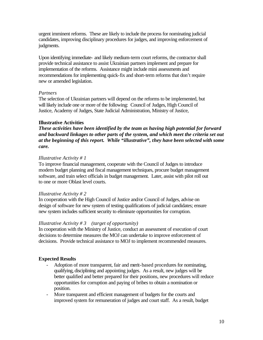urgent imminent reforms. These are likely to include the process for nominating judicial candidates, improving disciplinary procedures for judges, and improving enforcement of judgments.

Upon identifying immediate- and likely medium-term court reforms, the contractor shall provide technical assistance to assist Ukrainian partners implement and prepare for implementation of the reforms. Assistance might include mini assessments and recommendations for implementing quick-fix and short-term reforms that don't require new or amended legislation.

# *Partners*

The selection of Ukrainian partners will depend on the reforms to be implemented, but will likely include one or more of the following: Council of Judges, High Council of Justice, Academy of Judges, State Judicial Administration, Ministry of Justice,

# **Illustrative Activities**

*These activities have been identified by the team as having high potential for forward and backward linkages to other parts of the system, and which meet the criteria set out at the beginning of this report. While "illustrative", they have been selected with some care.*

# *Illustrative Activity # 1*

To improve financial management, cooperate with the Council of Judges to introduce modern budget planning and fiscal management techniques, procure budget management software, and train select officials in budget management. Later, assist with pilot roll out to one or more Oblast level courts.

# *Illustrative Activity # 2*

In cooperation with the High Council of Justice and/or Council of Judges, advise on design of software for new system of testing qualifications of judicial candidates; ensure new system includes sufficient security to eliminate opportunities for corruption.

# *Illustrative Activity # 3 (target of opportunity)*

In cooperation with the Ministry of Justice, conduct an assessment of execution of court decisions to determine measures the MOJ can undertake to improve enforcement of decisions. Provide technical assistance to MOJ to implement recommended measures.

# **Expected Results**

- Adoption of more transparent, fair and merit-based procedures for nominating, qualifying, disciplining and appointing judges. As a result, new judges will be better qualified and better prepared for their positions, new procedures will reduce opportunities for corruption and paying of bribes to obtain a nomination or position.
- More transparent and efficient management of budgets for the courts and improved system for remuneration of judges and court staff. As a result, budget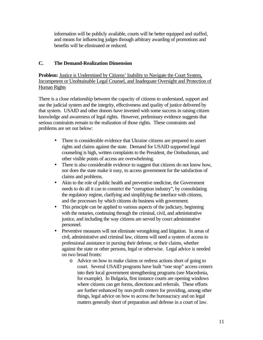information will be publicly available, courts will be better equipped and staffed, and means for influencing judges through arbitrary awarding of promotions and benefits will be eliminated or reduced.

# **C. The Demand-Realization Dimension**

**Problem:** Justice is Undermined by Citizens' Inability to Navigate the Court System, Incompetent or Unobtainable Legal Counsel, and Inadequate Oversight and Protection of Human Rights

There is a close relationship between the capacity of citizens to understand, support and use the judicial system and the integrity, effectiveness and quality of justice delivered by that system. USAID and other donors have invested with some success in raising citizen knowledge and awareness of legal rights. However, preliminary evidence suggests that serious constraints remain to the realization of those rights. These constraints and problems are set out below:

- There is considerable evidence that Ukraine citizens are prepared to assert rights and claims against the state. Demand for USAID supported legal counseling is high, written complaints to the President, the Ombudsman, and other visible points of access are overwhelming.
- There is also considerable evidence to suggest that citizens do not know how, nor does the state make it easy, to access government for the satisfaction of claims and problems.
- Akin to the role of public health and preventive medicine, the Government needs to do all it can to constrict the "corruption industry", by consolidating the regulatory regime, clarifying and simplifying the interface with citizens, and the processes by which citizens do business with government.
- This principle can be applied to various aspects of the judiciary, beginning with the notaries, continuing through the criminal, civil, and administrative justice, and including the way citizens are served by court administrative personnel.
- Preventive measures will not eliminate wrongdoing and litigation. In areas of civil, administrative and criminal law, citizens will need a system of access to professional assistance in pursing their defense, or their claims, whether against the state or other persons, legal or otherwise. Legal advice is needed on two broad fronts:
	- o Advice on how to make claims or redress actions short of going to court. Several USAID programs have built "one stop" access centers into their local government strengthening programs (see Macedonia, for example). In Bulgaria, first instance courts are opening windows where citizens can get forms, directions and referrals. These efforts are further enhanced by non-profit centers for providing, among other things, legal advice on how to access the bureaucracy and on legal matters generally short of preparation and defense in a court of law.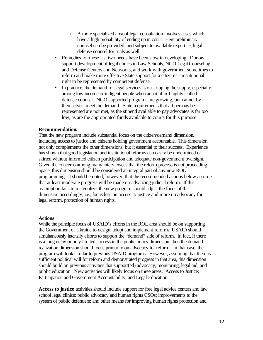- o A more specialized area of legal consultation involves cases which have a high probability of ending up in court. Here preliminary counsel can be provided, and subject to available expertise, legal defense counsel for trials as well.
- Remedies for these last two needs have been slow in developing. Donors support development of legal clinics in Law Schools, NGO Legal Counseling and Defense Centers and Networks, and work with government sometimes to reform and make more effective State support for a citizen's constitutional right to be represented by competent defense.
- In practice, the demand for legal services is outstripping the supply, especially among low income or indigent people who cannot afford highly skilled defense counsel. NGO supported programs are growing, but cannot by themselves, meet the demand. State requirements that all persons be represented are not met, as the stipend available to pay advocates is far too low, as are the appropriated funds available to courts for this purpose.

## **Recommendation:**

That the new program include substantial focus on the citizen/demand dimension, including access to justice and citizens holding government accountable. This dimension not only complements the other dimensions, but it essential to their success. Experience has shown that good legislation and institutional reforms can easily be undermined or skirted without informed citizen participation and adequate non-government oversight. Given the concerns among many interviewees that the reform process is not proceeding apace, this dimension should be considered an integral part of any new ROL programming. It should be noted, however, that the recommended actions below assume that at least moderate progress will be made on advancing judicial reform. If this assumption fails to materialize, the new program should adjust the focus of this dimension accordingly, i.e., focus less on access to justice and more on advocacy for legal reform, protection of human rights.

## **Actions**

While the principle focus of USAID's efforts in the ROL area should be on supporting the Government of Ukraine to design, adopt and implement reforms, USAID should simultaneously intensify efforts to support the "demand" side of reform. In fact, if there is a long delay or only limited success in the public policy dimension, then the demandrealization dimension should focus primarily on advocacy for reform. In that case, the program will look similar to previous USAID programs. However, assuming that there is sufficient political will for reform and demonstrated progress in that area, this dimension should build on previous activities that support(ed) advocacy, monitoring, legal aid, and public education. New activities will likely focus on three areas: Access to Justice; Participation and Government Accountability; and Legal Education.

**Access to justice** activities should include support for free legal advice centers and law school legal clinics; public advocacy and human rights CSOs; improvements to the system of public defenders; and other means for improving human rights protection and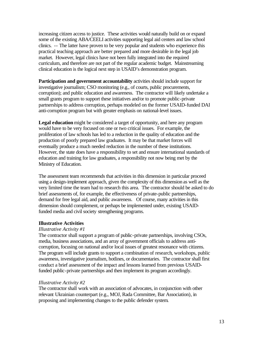increasing citizen access to justice. These activities would naturally build on or expand some of the existing ABA/CEELI activities supporting legal aid centers and law school clinics. -- The latter have proven to be very popular and students who experience this practical teaching approach are better prepared and more desirable in the legal job market. However, legal clinics have not been fully integrated into the required curriculum, and therefore are not part of the regular academic budget. Mainstreaming clinical education is the logical next step in USAID's demonstration program.

**Participation and government accountability** activities should include support for investigative journalism; CSO monitoring (e.g., of courts, public procurements, corruption); and public education and awareness. The contractor will likely undertake a small grants program to support these initiatives and/or to promote public-private partnerships to address corruption, perhaps modeled on the former USAID-funded DAI anti-corruption program but with greater emphasis on national-level issues.

**Legal education** might be considered a target of opportunity, and here any program would have to be very focused on one or two critical issues. For example, the proliferation of law schools has led to a reduction in the quality of education and the production of poorly prepared law graduates. It may be that market forces will eventually produce a much needed reduction in the number of these institutions. However, the state does have a responsibility to set and ensure international standards of education and training for law graduates, a responsibility not now being met by the Ministry of Education.

The assessment team recommends that activities in this dimension in particular proceed using a design-implement approach, given the complexity of this dimension as well as the very limited time the team had to research this area. The contractor should be asked to do brief assessments of, for example, the effectiveness of private-public partnerships, demand for free legal aid, and public awareness. Of course, many activities in this dimension should complement, or perhaps be implemented under, existing USAIDfunded media and civil society strengthening programs.

# **Illustrative Activities**

# *Illustrative Activity #1*

The contractor shall support a program of public-private partnerships, involving CSOs, media, business associations, and an array of government officials to address anticorruption, focusing on national and/or local issues of greatest resonance with citizens. The program will include grants to support a combination of research, workshops, public awareness, investigative journalism, hotlines, or documentaries. The contractor shall first conduct a brief assessment of the impact and lessons learned from previous USAIDfunded public-private partnerships and then implement its program accordingly.

# *Illustrative Activity #2*

The contractor shall work with an association of advocates, in conjunction with other relevant Ukrainian counterpart (e.g., MOJ, Rada Committee, Bar Association), in proposing and implementing changes to the public defender system.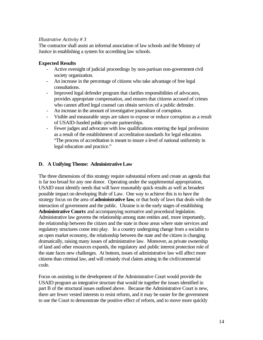# *Illustrative Activity # 3*

The contractor shall assist an informal association of law schools and the Ministry of Justice in establishing a system for accrediting law schools.

# **Expected Results**

- Active oversight of judicial proceedings by non-partisan non-government civil society organization.
- An increase in the percentage of citizens who take advantage of free legal consultations.
- Improved legal defender program that clarifies responsibilities of advocates, provides appropriate compensation, and ensures that citizens accused of crimes who cannot afford legal counsel can obtain services of a public defender.
- An increase in the amount of investigative journalism of corruption.
- Visible and measurable steps are taken to expose or reduce corruption as a result of USAID-funded public-private partnerships.
- Fewer judges and advocates with low qualifications entering the legal profession as a result of the establishment of accreditation standards for legal education. "The process of accreditation is meant to insure a level of national uniformity in legal education and practice."

# **D. A Unifying Theme: Administrative Law**

The three dimensions of this strategy require substantial reform and create an agenda that is far too broad for any one donor. Operating under the supplemental appropriation, USAID must identify needs that will have reasonably quick results as well as broadest possible impact on developing Rule of Law. One way to achieve this is to have the strategy focus on the area of **administrative law**, or that body of laws that deals with the interaction of government and the public. Ukraine is in the early stages of establishing **Administrative Courts** and accompanying normative and procedural legislation. Administrative law governs the relationship among state entities and, more importantly, the relationship between the citizen and the state in those areas where state services and regulatory structures come into play. In a country undergoing change from a socialist to an open market economy, the relationship between the state and the citizen is changing dramatically, raising many issues of administrative law. Moreover, as private ownership of land and other resources expands, the regulatory and public interest protection role of the state faces new challenges. At bottom, issues of administrative law will affect more citizens than criminal law, and will certainly rival claims arising in the civil/commercial code.

Focus on assisting in the development of the Administrative Court would provide the USAID program an integrative structure that would tie together the issues identified in part B of the structural issues outlined above. Because the Administrative Court is new, there are fewer vested interests to resist reform, and it may be easier for the government to use the Court to demonstrate the positive effect of reform, and to move more quickly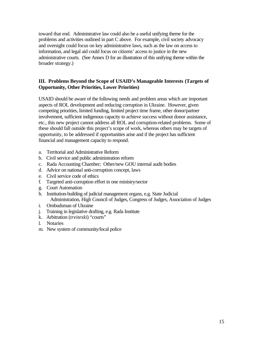toward that end. Administrative law could also be a useful unifying theme for the problems and activities outlined in part C above. For example, civil society advocacy and oversight could focus on key administrative laws, such as the law on access to information, and legal aid could focus on citizens' access to justice in the new administrative courts. (See Annex D for an illustration of this unifying theme within the broader strategy.)

# **III. Problems Beyond the Scope of USAID's Manageable Interests (Targets of Opportunity, Other Priorities, Lower Priorities)**

USAID should be aware of the following needs and problem areas which are important aspects of ROL development and reducing corruption in Ukraine. However, given competing priorities, limited funding, limited project time frame, other donor/partner involvement, sufficient indigenous capacity to achieve success without donor assistance, etc., this new project cannot address all ROL and corruption-related problems. Some of these should fall outside this project's scope of work, whereas others may be targets of opportunity, to be addressed if opportunities arise and if the project has sufficient financial and management capacity to respond.

- a. Territorial and Administrative Reform
- b. Civil service and public administration reform
- c. Rada Accounting Chamber; Other/new GOU internal audit bodies
- d. Advice on national anti-corruption concept, laws
- e. Civil service code of ethics
- f. Targeted anti-corruption effort in one ministry/sector
- g. Court Automation
- h. Institution-building of judicial management organs, e.g. State Judicial Administration, High Council of Judges, Congress of Judges, Association of Judges
- i. Ombudsman of Ukraine
- j. Training in legislative drafting, e.g. Rada Institute
- k. Arbitration (*treiteski*) "courts"
- l. Notaries
- m. New system of community/local police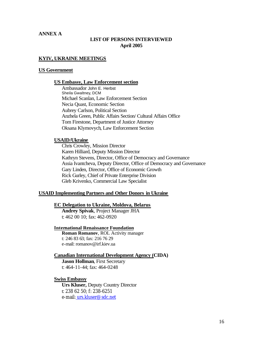# **ANNEX A**

## **LIST OF PERSONS INTERVIEWED April 2005**

## **KYIV, UKRAINE MEETINGS**

#### **US Government**

#### **US Embassy, Law Enforcement section**

Ambassador John E. Herbst Sheila Gwaltney, DCM Michael Scanlan, Law Enforcement Section Necia Quast, Economic Section Aubrey Carlson, Political Section Anzhela Green, Public Affairs Section/ Cultural Affairs Office Tom Firestone, Department of Justice Attorney Oksana Klymovych, Law Enforcement Section

## **USAID/Ukraine**

Chris Crowley, Mission Director Karen Hilliard, Deputy Mission Director Kathryn Stevens, Director, Office of Democracy and Governance Assia Ivantcheva, Deputy Director, Office of Democracy and Governance Gary Linden, Director, Office of Economic Growth Rick Gurley, Chief of Private Enterprise Division Gleb Krivenko, Commercial Law Specialist

#### **USAID Implementing Partners and Other Donors in Ukraine**

## **EC Delegation to Ukraine, Moldova, Belarus**

**Andrey Spivak**, Project Manager JHA t: 462 00 10; fax: 462-0920

# **International Renaissance Foundation**

**Roman Romanov**, ROL Activity manager t: 246 83 63; fax: 216 76 29 e-mail: romanov@irf.kiev.ua

## **Canadian International Development Agency (CIDA)**

**Jason Hollman**, First Secretary t: 464-11-44; fax: 464-0248

## **Swiss Embassy**

**Urs Kluser,** Deputy Country Director t: 238 62 50; f: 238-6251 e-mail: urs.kluser@sdc.net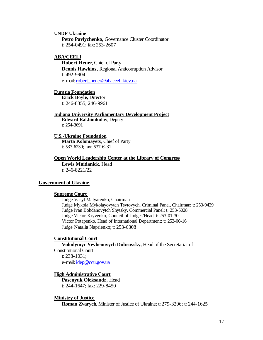#### **UNDP Ukraine**

**Petro Pavlychenko,** Governance Cluster Coordinator t: 254-0491; fax: 253-2607

## **ABA/CEELI**

**Robert Heuer**, Chief of Party **Dennis Hawkins**, Regional Anticorruption Advisor t: 492-9904 e-mail: robert\_heuer@abaceeli.kiev.ua

## **Eurasia Foundation**

**Erick Boyle,** Director t: 246-8355; 246-9961

#### **Indiana University Parliamentary Development Project**

**Edward Rakhimkulov**, Deputy t: 254-3691

#### **U.S.-Ukraine Foundation**

**Marta Kolomayets**, Chief of Party t: 537-6230; fax: 537-6231

#### **Open World Leadership Center at the Library of Congress**

**Lewis Maidanick,** Head t: 246-8221/22

## **Government of Ukraine**

## **Supreme Court**

Judge Vasyl Malyarenko, Chairman Judge Mykola Mykolayovytch Tsytovych, Criminal Panel, Chairman; t: 253-9429 Judge Ivan Bohdanovytch Shytsky, Commercial Panel; t: 253-5028 Judge Victor Kryvenko, Council of Judges/Head; t: 253-01-30 Victor Potapenko, Head of International Department; t: 253-00-16 Judge Natalia Naprienko; t: 253-6308

#### **Constitutional Court**

**Volodymyr Yevhenovych Dubrovsky,** Head of the Secretariat of Constitutional Court t: 238-1031; e-mail: idep@ccu.gov.ua

## **High Administrative Court**

**Pasenyuk Oleksandr,** Head t: 244-1647; fax: 229-8450

## **Ministry of Justice**

**Roman Zvarych**, Minister of Justice of Ukraine; t: 279-3206; t: 244-1625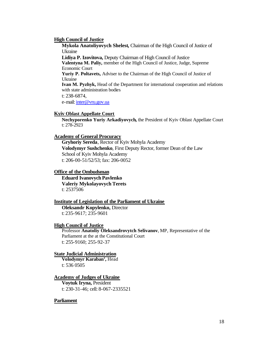#### **High Council of Justice**

**Mykola Anatoliyovych Shelest,** Chairman of the High Council of Justice of Ukraine

**Lidiya P. Izovitova,** Deputy Chairman of High Council of Justice **Valentyna M. Paliy,** member of the High Council of Justice, Judge, Supreme Economic Court

**Yuriy P. Poltavets,** Adviser to the Chairman of the High Council of Justice of Ukraine

**Ivan M. Pyzhyk,** Head of the Department for international cooperation and relations with state administration bodies

t: 238-6874,

e-mail: inter@vru.gov.ua

## **Kyiv Oblast Appellate Court**

**Nechyporenko Yuriy Arkadiyovych,** the President of Kyiv Oblast Appellate Court t: 278-2923

#### **Academy of General Procuracy**

**Gryhoriy Sereda**, Rector of Kyiv Mohyla Academy **Volodymyr Sushchenko**, First Deputy Rector, former Dean of the Law School of Kyiv Mohyla Academy t: 206-00-51/52/53; fax: 206-0052

### **Office of the Ombudsman**

 **Eduard Ivanovych Pavlenko Valeriy Mykolayovych Terets** t: 2537506

#### **Institute of Legislation of the Parliament of Ukraine**

**Oleksandr Kopylenko,** Director t: 235-9617; 235-9601

#### **High Council of Justice**

Professor **Anatoliy Oleksandrovytch Selivanov**, MP, Representative of the Parliament at the at the Constitutional Court t: 255-9160; 255-92-37

#### **State Judicial Administration**

**Volodymyr Karaban',** Head t: 536 0505

## **Academy of Judges of Ukraine**

**Voytuk Iryna,** President t: 230-31-46; cell: 8-067-2335521

## **Parliament**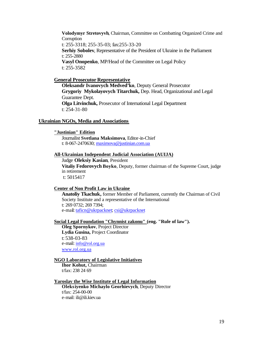**Volodymyr Stretovyvh**, Chairman, Committee on Combatting Organized Crime and **Corruption** t: 255-3318; 255-35-03; fax:255-33-20 **Serhiy Sobolev**, Representative of the President of Ukraine in the Parliament t: 255-2880 **Vasyl Onopenko**, MP/Head of the Committee on Legal Policy t: 255-3582

#### **General Prosecutor Representative**

**Oleksandr Ivanovych Medved'ko**, Deputy General Prosecutor **Grygoriy Mykolayovych Titarchuk,** Dep. Head, Organizational and Legal Guarantee Dept. **Olga Litvinchuk,** Prosecutor of International Legal Department t: 254-31-80

## **Ukrainian NGOs, Media and Associations**

**"Justinian" Edition**

Journalist **Svetlana Maksimova**, Editor-in-Chief t: 8-067-2470630; maximova@justinian.com.ua

#### **All-Ukrainian Independent Judicial Association (AUIJA)**

Judge **Oleksiy Kasian**, President **Vitaliy Fedorovych Boyko**, Deputy, former chairman of the Supreme Court, judge in retirement t: 5015417

#### **Center of Non Profit Law in Ukraine**

**Anatoliy Tkachuk,** former Member of Parliament, currently the Chairman of Civil Society Institute and a representative of the International t: 269 0732; 269 7394; e-mail: taficn@ukrpacknet; csi@ukrpacknet

## **Social Legal Foundation "Chynnist zakonu" (eng. "Rule of law").**

**Oleg Spornykov**, Project Director **Lydia Gusina,** Project Coordinator t: 538-03-83 e-mail: info@rol.org.ua www.rol.org.ua

## **NGO Laboratory of Legislative Initiatives**

**Ihor Kohut,** Chairman t/fax: 238 24 69

# **Yaroslav the Wise Institute of Legal Information**

**Oleksiyenko Michaylo Georhievych**, Deputy Director t/fax: 254-00-00 e-mail: ili@ili.kiev.ua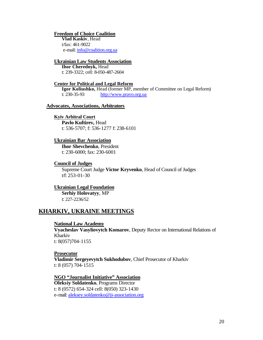#### **Freedom of Choice Coalition**

**Vlad Kaskiv**, Head t/fax: 461-9022 e-mail: info@coalition.org.ua

## **Ukrainian Law Students Association**

**Ihor Cherednyk,** Head t: 239-3322; cell: 8-050-487-2604

#### **Center for Political and Legal Reform**

**Igor Koliushko,** Head (former MP, member of Committee on Legal Reform) t: 230-35-93 http://www.pravo.org.ua

## **Advocates, Associations, Arbitrators**

## **Kyiv Arbitral Court**

**Pavlo Kuftirev,** Head t: 536-5707; f: 536-1277 f: 238-6101

#### **Ukrainian Bar Association**

**Ihor Shevchenko**, President t: 230-6000; fax: 230-6001

#### **Council of Judges**

Supreme Court Judge **Victor Kryvenko**, Head of Council of Judges t/f: 253-01-30

## **Ukrainian Legal Foundation**

**Serhiy Holovatyy**, MP t: 227-2236/52

# **KHARKIV, UKRAINE MEETINGS**

#### **National Law Academy**

**Vyacheslav Vasyliovytch Komarov**, Deputy Rector on International Relations of Kharkiv t: 8(057)704-1155

#### **Prosecutor**

**Vladimir Sergeyevytch Sukhodubov**, Chief Prosecutor of Kharkiv t: 8 (057) 704-1515

**NGO "Journalist Initiative" Association Oleksiy Soldatenko**, Programs Director t: 8 (0572) 654-324 cell: 8(050) 323-1430 e-mail: aleksey.soldatenko@ji-association.org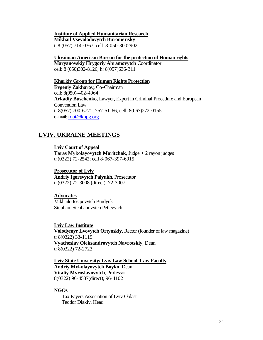## **Institute of Applied Humanitarian Research**

**Mikhail Vsevolodovytch Buromensky**

t: 8 (057) 714-0367; cell 8-050-3002902

## **Ukrainian American Bureau for the protection of Human rights**

**Maryanovskiy Hrygoriy Abramovytch** Coordinator cell: 8 (050)302-8126; h: 8(057)636-311

## **Kharkiv Group for Human Rights Protection**

**Evgeniy Zakharov,** Co-Chairman cell: 8(050)-402-4064 **Arkadiy Buschenko**, Lawyer, Expert in Criminal Procedure and European Convention Law t: 8(057) 700-6771; 757-51-66; cell: 8(067)272-0155 e-mail: root@khpg.org

# **LVIV, UKRAINE MEETINGS**

**Lviv Court of Appeal Taras Mykolayovytch Maritchak,** Judge + 2 rayon judges t: (0322) 72-2542; cell 8-067-397-6015

## **Prosecutor of Lviv**

**Andriy Igorevytch Palyukh**, Prosecutor t: (0322) 72-3008 (direct); 72-3007

## **Advocates**

Mikhailo Iosipovytch Burdyuk StephanStephanovytch Petlevytch

## **Lviv Law Institute**

**Volodymyr Lvovytch Ortynskiy**, Rector (founder of law magazine) t: 8(0322) 33-1119 **Vyacheslav Oleksandrovytch Navrotskiy**, Dean t: 8(0322) 72-2723

## **Lviv State University/ Lviv Law School, Law Faculty Andriy Mykolayovytch Boyko**, Dean

**Vitaliy Myroslavovytch**, Professor 8(0322) 96-4537(direct); 96-4102

# **NGOs**

Tax Payers Association of Lviv Oblast Teodor Diakiv, Head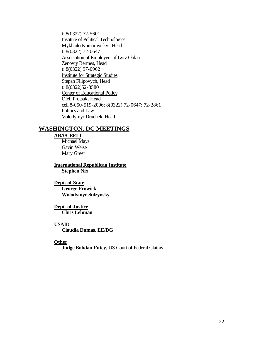t: 8(0322) 72-5601 Institute of Political Technologies Mykhailo Komarnytskyi, Head t: 8(0322) 72-0647 Association of Employers of Lviv Oblast Zenoviy Bermes, Head t: 8(0322) 97-0962 Institute for Strategic Studies Stepan Filipovych, Head t: 8(0322)52-8580 Center of Educational Policy Oleh Protsak, Head cell 8-050-519-2006; 8(0322) 72-0647; 72-2861 Politics and Law Volodymyr Druchek, Head

# **WASHINGTON, DC MEETINGS**

# **ABA/CEELI**

Michael Maya Gavin Weise Mary Greer

**International Republican Institute Stephen Nix**

**Dept. of State George Frowick Wolodymyr Sulzynsky**

**Dept. of Justice Chris Lehman**

## **USAID**

**Claudia Dumas, EE/DG**

## **Other**

**Judge Bohdan Futey,** US Court of Federal Claims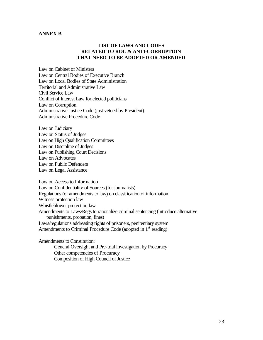## **ANNEX B**

# **LIST OF LAWS AND CODES RELATED TO ROL & ANTI-CORRUPTION THAT NEED TO BE ADOPTED OR AMENDED**

Law on Cabinet of Ministers Law on Central Bodies of Executive Branch Law on Local Bodies of State Administration Territorial and Administrative Law Civil Service Law Conflict of Interest Law for elected politicians Law on Corruption Administrative Justice Code (just vetoed by President) Administrative Procedure Code

Law on Judiciary Law on Status of Judges Law on High Qualification Committees Law on Discipline of Judges Law on Publishing Court Decisions Law on Advocates Law on Public Defenders Law on Legal Assistance

Law on Access to Information Law on Confidentiality of Sources (for journalists) Regulations (or amendments to law) on classification of information Witness protection law Whistleblower protection law Amendments to Laws/Regs to rationalize criminal sentencing (introduce alternative punishments, probation, fines) Laws/regulations addressing rights of prisoners, penitentiary system Amendments to Criminal Procedure Code (adopted in  $1<sup>st</sup>$  reading)

Amendments to Constitution: General Oversight and Pre-trial investigation by Procuracy Other competencies of Procuracy Composition of High Council of Justice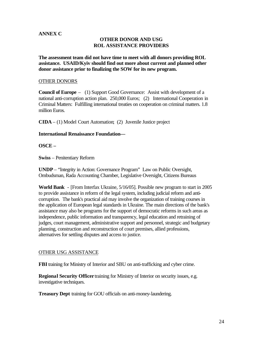# **ANNEX C**

# **OTHER DONOR AND USG ROL ASSISTANCE PROVIDERS**

**The assessment team did not have time to meet with all donors providing ROL assistance. USAID/Kyiv should find out more about current and planned other donor assistance prior to finalizing the SOW for its new program.** 

## OTHER DONORS

**Council of Europe** – (1) Support Good Governance: Assist with development of a national anti-corruption action plan. 250,000 Euros; (2) International Cooperation in Criminal Matters: Fulfilling international treaties on cooperation on criminal matters. 1.8 million Euros.

**CIDA** – (1) Model Court Automation; (2) Juvenile Justice project

# **International Renaissance Foundation—**

**OSCE –**

**Swiss** – Penitentiary Reform

**UNDP** – "Integrity in Action: Governance Program" Law on Public Oversight, Ombudsman, Rada Accounting Chamber, Legislative Oversight, Citizens Bureaus

**World Bank** - [From Interfax Ukraine, 5/16/05]. Possible new program to start in 2005 to provide assistance in reform of the legal system, including judicial reform and anticorruption. The bank's practical aid may involve the organization of training courses in the application of European legal standards in Ukraine. The main directions of the bank's assistance may also be programs for the support of democratic reforms in such areas as independence, public information and transparency, legal education and retraining of judges, court management, administrative support and personnel, strategic and budgetary planning, construction and reconstruction of court premises, allied professions, alternatives for settling disputes and access to justice.

# OTHER USG ASSISTANCE

**FBI** training for Ministry of Interior and SBU on anti-trafficking and cyber crime.

**Regional Security Officer** training for Ministry of Interior on security issues, e.g. investigative techniques.

**Treasury Dept** training for GOU officials on anti-money-laundering.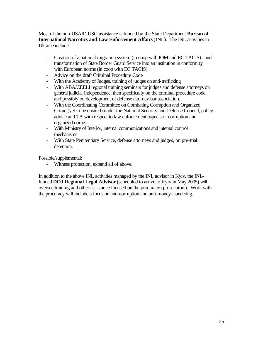Most of the non-USAID USG assistance is funded by the State Department **Bureau of International Narcotics and Law Enforcement Affairs** (**INL**). The INL activities in Ukraine include:

- Creation of a national migration system (in coop with IOM and EC TACIS) , and transformation of State Border Guard Service into an institution in conformity with European norms (in coop with EC TACIS).
- Advice on the draft Criminal Procedure Code
- With the Academy of Judges, training of judges on anti-trafficking
- With ABA/CEELI regional training seminars for judges and defense attorneys on general judicial independence, then specifically on the criminal procedure code, and possibly on development of defense attorney bar association.
- With the Coordinating Committee on Combating Corruption and Organized Crime (yet to be created) under the National Security and Defense Council, policy advice and TA with respect to law enforcement aspects of corruption and organized crime.
- With Ministry of Interior, internal communications and internal control mechanisms
- With State Penitentiary Service, defense attorneys and judges, on pre-trial detention.

Possible/supplemental:

- Witness protection, expand all of above.

In addition to the above INL activities managed by the INL advisor in Kyiv, the INLfunded **DOJ Regional Legal Advisor** (scheduled to arrive to Kyiv in May 2005) will oversee training and other assistance focused on the procuracy (prosecutors). Work with the procuracy will include a focus on anti-corruption and anti-money-laundering.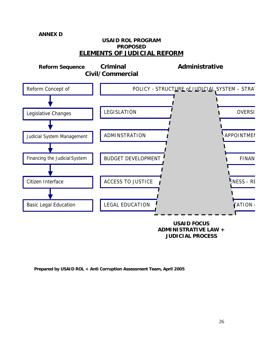# **ANNEX D**

# **USAID ROL PROGRAM PROPOSED ELEMENTS OF JUDICIAL REFORM**



**JUDICIAL PROCESS**

**Prepared by USAID ROL + Anti Corruption Assessment Team, April 2005**